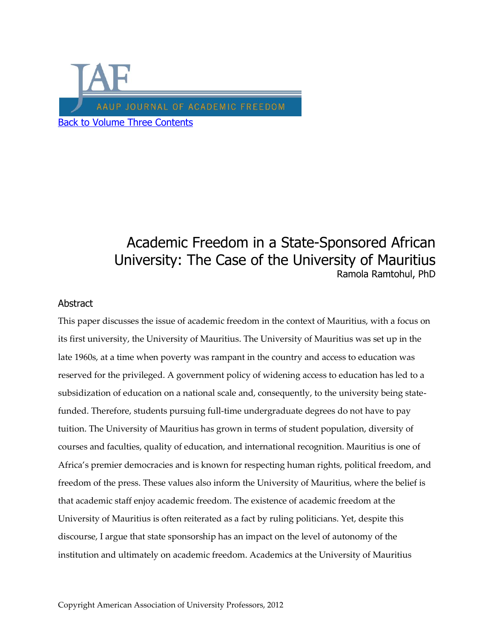

# Academic Freedom in a State-Sponsored African University: The Case of the University of Mauritius Ramola Ramtohul, PhD

## **Abstract**

This paper discusses the issue of academic freedom in the context of Mauritius, with a focus on its first university, the University of Mauritius. The University of Mauritius was set up in the late 1960s, at a time when poverty was rampant in the country and access to education was reserved for the privileged. A government policy of widening access to education has led to a subsidization of education on a national scale and, consequently, to the university being statefunded. Therefore, students pursuing full-time undergraduate degrees do not have to pay tuition. The University of Mauritius has grown in terms of student population, diversity of courses and faculties, quality of education, and international recognition. Mauritius is one of Africa's premier democracies and is known for respecting human rights, political freedom, and freedom of the press. These values also inform the University of Mauritius, where the belief is that academic staff enjoy academic freedom. The existence of academic freedom at the University of Mauritius is often reiterated as a fact by ruling politicians. Yet, despite this discourse, I argue that state sponsorship has an impact on the level of autonomy of the institution and ultimately on academic freedom. Academics at the University of Mauritius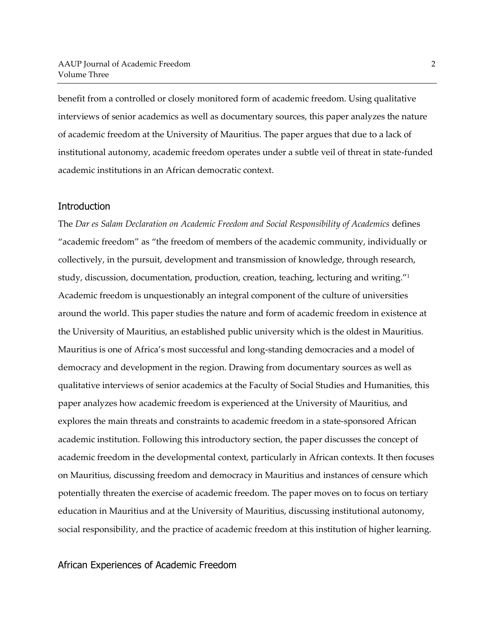benefit from a controlled or closely monitored form of academic freedom. Using qualitative interviews of senior academics as well as documentary sources, this paper analyzes the nature of academic freedom at the University of Mauritius. The paper argues that due to a lack of institutional autonomy, academic freedom operates under a subtle veil of threat in state-funded academic institutions in an African democratic context.

#### **Introduction**

The *Dar es Salam Declaration on Academic Freedom and Social Responsibility of Academics* defines "academic freedom" as "the freedom of members of the academic community, individually or collectively, in the pursuit, development and transmission of knowledge, through research, study, discussion, documentation, production, creation, teaching, lecturing and writing."<sup>1</sup> Academic freedom is unquestionably an integral component of the culture of universities around the world. This paper studies the nature and form of academic freedom in existence at the University of Mauritius, an established public university which is the oldest in Mauritius. Mauritius is one of Africa's most successful and long-standing democracies and a model of democracy and development in the region. Drawing from documentary sources as well as qualitative interviews of senior academics at the Faculty of Social Studies and Humanities, this paper analyzes how academic freedom is experienced at the University of Mauritius, and explores the main threats and constraints to academic freedom in a state-sponsored African academic institution. Following this introductory section, the paper discusses the concept of academic freedom in the developmental context, particularly in African contexts. It then focuses on Mauritius, discussing freedom and democracy in Mauritius and instances of censure which potentially threaten the exercise of academic freedom. The paper moves on to focus on tertiary education in Mauritius and at the University of Mauritius, discussing institutional autonomy, social responsibility, and the practice of academic freedom at this institution of higher learning.

# African Experiences of Academic Freedom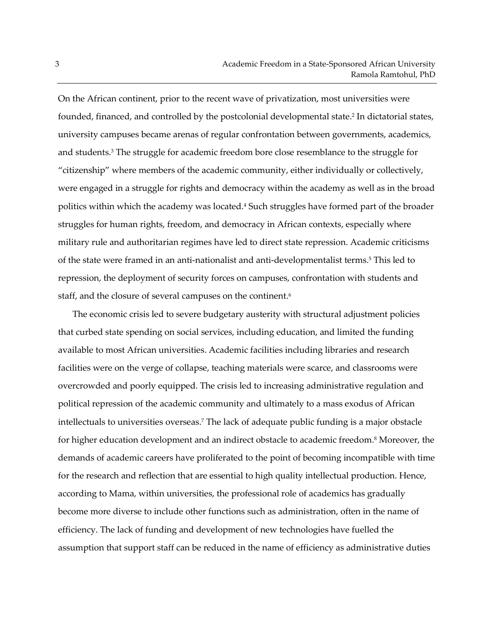On the African continent, prior to the recent wave of privatization, most universities were founded, financed, and controlled by the postcolonial developmental state. 2 In dictatorial states, university campuses became arenas of regular confrontation between governments, academics, and students.<sup>3</sup> The struggle for academic freedom bore close resemblance to the struggle for "citizenship" where members of the academic community, either individually or collectively, were engaged in a struggle for rights and democracy within the academy as well as in the broad politics within which the academy was located.<sup>4</sup> Such struggles have formed part of the broader struggles for human rights, freedom, and democracy in African contexts, especially where military rule and authoritarian regimes have led to direct state repression. Academic criticisms of the state were framed in an anti-nationalist and anti-developmentalist terms.<sup>5</sup> This led to repression, the deployment of security forces on campuses, confrontation with students and staff, and the closure of several campuses on the continent.<sup>6</sup>

The economic crisis led to severe budgetary austerity with structural adjustment policies that curbed state spending on social services, including education, and limited the funding available to most African universities. Academic facilities including libraries and research facilities were on the verge of collapse, teaching materials were scarce, and classrooms were overcrowded and poorly equipped. The crisis led to increasing administrative regulation and political repression of the academic community and ultimately to a mass exodus of African intellectuals to universities overseas.<sup>7</sup> The lack of adequate public funding is a major obstacle for higher education development and an indirect obstacle to academic freedom.<sup>8</sup> Moreover, the demands of academic careers have proliferated to the point of becoming incompatible with time for the research and reflection that are essential to high quality intellectual production. Hence, according to Mama, within universities, the professional role of academics has gradually become more diverse to include other functions such as administration, often in the name of efficiency. The lack of funding and development of new technologies have fuelled the assumption that support staff can be reduced in the name of efficiency as administrative duties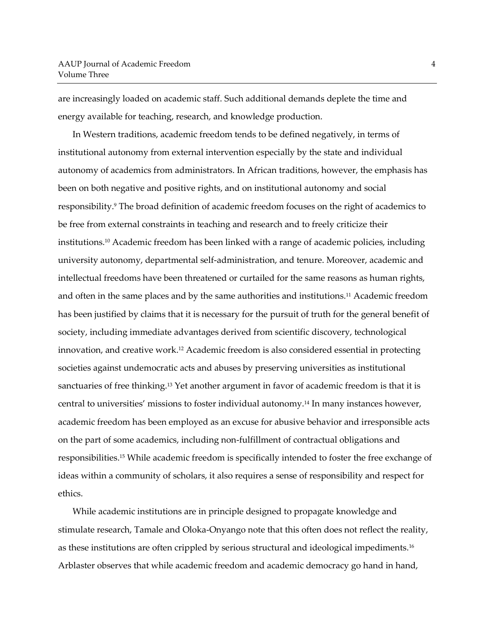are increasingly loaded on academic staff. Such additional demands deplete the time and energy available for teaching, research, and knowledge production.

In Western traditions, academic freedom tends to be defined negatively, in terms of institutional autonomy from external intervention especially by the state and individual autonomy of academics from administrators. In African traditions, however, the emphasis has been on both negative and positive rights, and on institutional autonomy and social responsibility. <sup>9</sup> The broad definition of academic freedom focuses on the right of academics to be free from external constraints in teaching and research and to freely criticize their institutions.<sup>10</sup> Academic freedom has been linked with a range of academic policies, including university autonomy, departmental self-administration, and tenure. Moreover, academic and intellectual freedoms have been threatened or curtailed for the same reasons as human rights, and often in the same places and by the same authorities and institutions.<sup>11</sup> Academic freedom has been justified by claims that it is necessary for the pursuit of truth for the general benefit of society, including immediate advantages derived from scientific discovery, technological innovation, and creative work.<sup>12</sup> Academic freedom is also considered essential in protecting societies against undemocratic acts and abuses by preserving universities as institutional sanctuaries of free thinking.<sup>13</sup> Yet another argument in favor of academic freedom is that it is central to universities' missions to foster individual autonomy.<sup>14</sup> In many instances however, academic freedom has been employed as an excuse for abusive behavior and irresponsible acts on the part of some academics, including non-fulfillment of contractual obligations and responsibilities.<sup>15</sup> While academic freedom is specifically intended to foster the free exchange of ideas within a community of scholars, it also requires a sense of responsibility and respect for ethics.

While academic institutions are in principle designed to propagate knowledge and stimulate research, Tamale and Oloka-Onyango note that this often does not reflect the reality, as these institutions are often crippled by serious structural and ideological impediments.<sup>16</sup> Arblaster observes that while academic freedom and academic democracy go hand in hand,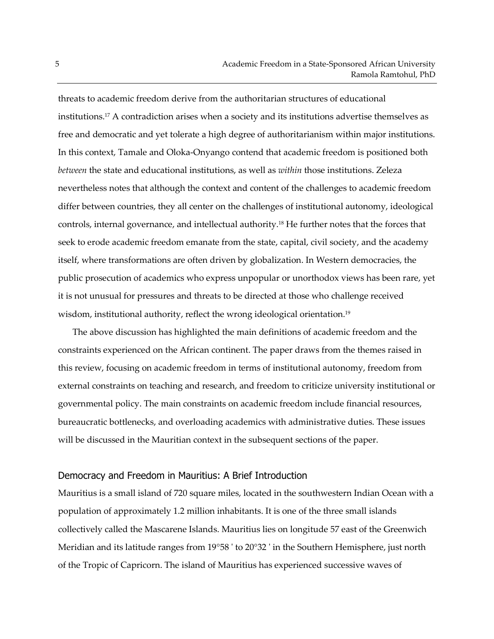threats to academic freedom derive from the authoritarian structures of educational institutions.<sup>17</sup> A contradiction arises when a society and its institutions advertise themselves as free and democratic and yet tolerate a high degree of authoritarianism within major institutions. In this context, Tamale and Oloka-Onyango contend that academic freedom is positioned both *between* the state and educational institutions, as well as *within* those institutions. Zeleza nevertheless notes that although the context and content of the challenges to academic freedom differ between countries, they all center on the challenges of institutional autonomy, ideological controls, internal governance, and intellectual authority.<sup>18</sup> He further notes that the forces that seek to erode academic freedom emanate from the state, capital, civil society, and the academy itself, where transformations are often driven by globalization. In Western democracies, the public prosecution of academics who express unpopular or unorthodox views has been rare, yet it is not unusual for pressures and threats to be directed at those who challenge received wisdom, institutional authority, reflect the wrong ideological orientation.<sup>19</sup>

The above discussion has highlighted the main definitions of academic freedom and the constraints experienced on the African continent. The paper draws from the themes raised in this review, focusing on academic freedom in terms of institutional autonomy, freedom from external constraints on teaching and research, and freedom to criticize university institutional or governmental policy. The main constraints on academic freedom include financial resources, bureaucratic bottlenecks, and overloading academics with administrative duties. These issues will be discussed in the Mauritian context in the subsequent sections of the paper.

#### Democracy and Freedom in Mauritius: A Brief Introduction

Mauritius is a small island of 720 square miles, located in the southwestern Indian Ocean with a population of approximately 1.2 million inhabitants. It is one of the three small islands collectively called the Mascarene Islands. Mauritius lies on longitude 57 east of the Greenwich Meridian and its latitude ranges from 19°58 ' to 20°32 ' in the Southern Hemisphere, just north of the Tropic of Capricorn. The island of Mauritius has experienced successive waves of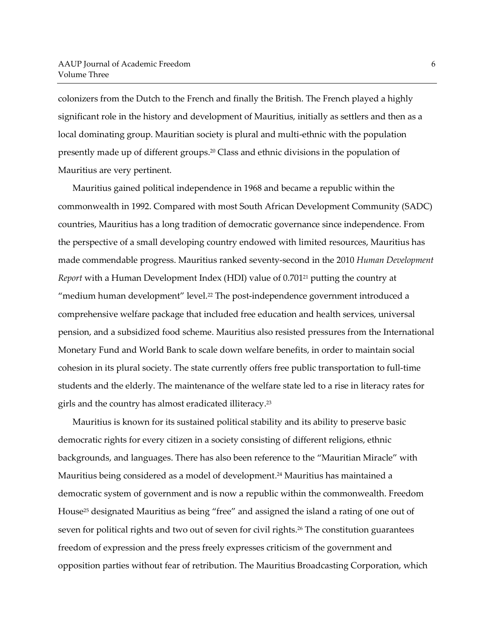colonizers from the Dutch to the French and finally the British. The French played a highly significant role in the history and development of Mauritius, initially as settlers and then as a local dominating group. Mauritian society is plural and multi-ethnic with the population presently made up of different groups. <sup>20</sup> Class and ethnic divisions in the population of Mauritius are very pertinent.

Mauritius gained political independence in 1968 and became a republic within the commonwealth in 1992. Compared with most South African Development Community (SADC) countries, Mauritius has a long tradition of democratic governance since independence. From the perspective of a small developing country endowed with limited resources, Mauritius has made commendable progress. Mauritius ranked seventy-second in the 2010 *Human Development Report* with a Human Development Index (HDI) value of 0.701<sup>21</sup> putting the country at "medium human development" level.<sup>22</sup> The post-independence government introduced a comprehensive welfare package that included free education and health services, universal pension, and a subsidized food scheme. Mauritius also resisted pressures from the International Monetary Fund and World Bank to scale down welfare benefits, in order to maintain social cohesion in its plural society. The state currently offers free public transportation to full-time students and the elderly. The maintenance of the welfare state led to a rise in literacy rates for girls and the country has almost eradicated illiteracy. 23

Mauritius is known for its sustained political stability and its ability to preserve basic democratic rights for every citizen in a society consisting of different religions, ethnic backgrounds, and languages. There has also been reference to the "Mauritian Miracle" with Mauritius being considered as a model of development. <sup>24</sup> Mauritius has maintained a democratic system of government and is now a republic within the commonwealth. Freedom House<sup>25</sup> designated Mauritius as being "free" and assigned the island a rating of one out of seven for political rights and two out of seven for civil rights.<sup>26</sup> The constitution guarantees freedom of expression and the press freely expresses criticism of the government and opposition parties without fear of retribution. The Mauritius Broadcasting Corporation, which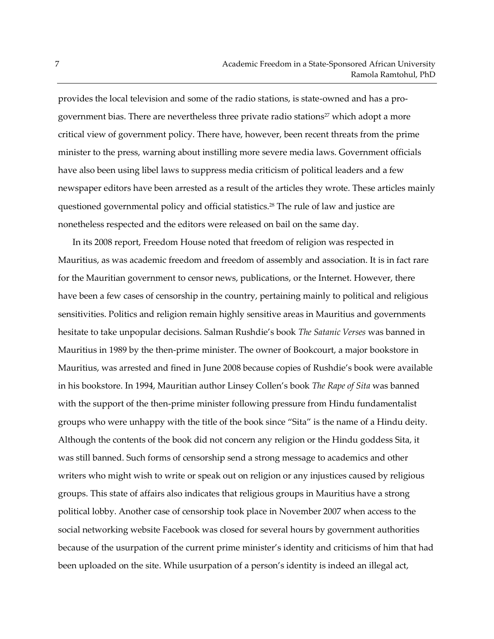provides the local television and some of the radio stations, is state-owned and has a progovernment bias. There are nevertheless three private radio stations<sup>27</sup> which adopt a more critical view of government policy. There have, however, been recent threats from the prime minister to the press, warning about instilling more severe media laws. Government officials have also been using libel laws to suppress media criticism of political leaders and a few newspaper editors have been arrested as a result of the articles they wrote. These articles mainly questioned governmental policy and official statistics.<sup>28</sup> The rule of law and justice are nonetheless respected and the editors were released on bail on the same day.

In its 2008 report, Freedom House noted that freedom of religion was respected in Mauritius, as was academic freedom and freedom of assembly and association. It is in fact rare for the Mauritian government to censor news, publications, or the Internet. However, there have been a few cases of censorship in the country, pertaining mainly to political and religious sensitivities. Politics and religion remain highly sensitive areas in Mauritius and governments hesitate to take unpopular decisions. Salman Rushdie's book *The Satanic Verses* was banned in Mauritius in 1989 by the then-prime minister. The owner of Bookcourt, a major bookstore in Mauritius, was arrested and fined in June 2008 because copies of Rushdie's book were available in his bookstore. In 1994, Mauritian author Linsey Collen's book *The Rape of Sita* was banned with the support of the then-prime minister following pressure from Hindu fundamentalist groups who were unhappy with the title of the book since "Sita" is the name of a Hindu deity. Although the contents of the book did not concern any religion or the Hindu goddess Sita, it was still banned. Such forms of censorship send a strong message to academics and other writers who might wish to write or speak out on religion or any injustices caused by religious groups. This state of affairs also indicates that religious groups in Mauritius have a strong political lobby. Another case of censorship took place in November 2007 when access to the social networking website Facebook was closed for several hours by government authorities because of the usurpation of the current prime minister's identity and criticisms of him that had been uploaded on the site. While usurpation of a person's identity is indeed an illegal act,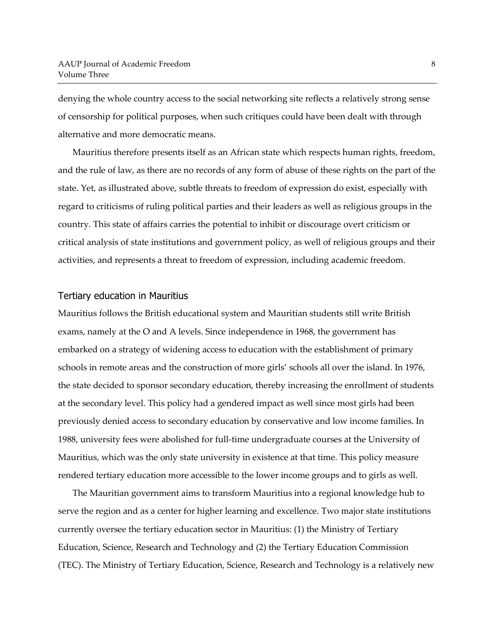denying the whole country access to the social networking site reflects a relatively strong sense of censorship for political purposes, when such critiques could have been dealt with through alternative and more democratic means.

Mauritius therefore presents itself as an African state which respects human rights, freedom, and the rule of law, as there are no records of any form of abuse of these rights on the part of the state. Yet, as illustrated above, subtle threats to freedom of expression do exist, especially with regard to criticisms of ruling political parties and their leaders as well as religious groups in the country. This state of affairs carries the potential to inhibit or discourage overt criticism or critical analysis of state institutions and government policy, as well of religious groups and their activities, and represents a threat to freedom of expression, including academic freedom.

#### Tertiary education in Mauritius

Mauritius follows the British educational system and Mauritian students still write British exams, namely at the O and A levels. Since independence in 1968, the government has embarked on a strategy of widening access to education with the establishment of primary schools in remote areas and the construction of more girls' schools all over the island. In 1976, the state decided to sponsor secondary education, thereby increasing the enrollment of students at the secondary level. This policy had a gendered impact as well since most girls had been previously denied access to secondary education by conservative and low income families. In 1988, university fees were abolished for full-time undergraduate courses at the University of Mauritius, which was the only state university in existence at that time. This policy measure rendered tertiary education more accessible to the lower income groups and to girls as well.

The Mauritian government aims to transform Mauritius into a regional knowledge hub to serve the region and as a center for higher learning and excellence. Two major state institutions currently oversee the tertiary education sector in Mauritius: (1) the Ministry of Tertiary Education, Science, Research and Technology and (2) the Tertiary Education Commission (TEC). The Ministry of Tertiary Education, Science, Research and Technology is a relatively new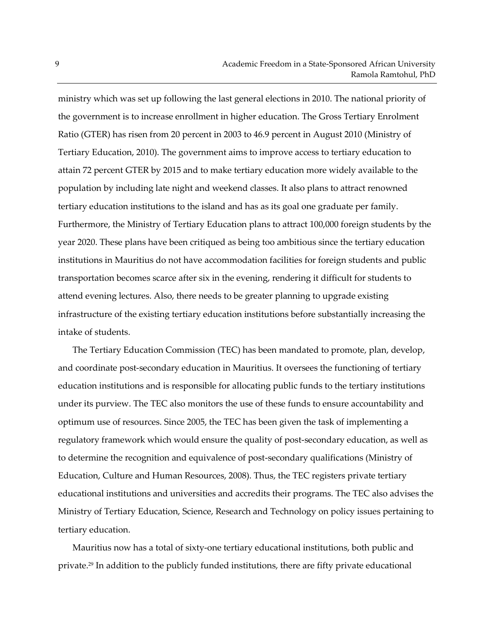ministry which was set up following the last general elections in 2010. The national priority of the government is to increase enrollment in higher education. The Gross Tertiary Enrolment Ratio (GTER) has risen from 20 percent in 2003 to 46.9 percent in August 2010 (Ministry of Tertiary Education, 2010). The government aims to improve access to tertiary education to attain 72 percent GTER by 2015 and to make tertiary education more widely available to the population by including late night and weekend classes. It also plans to attract renowned tertiary education institutions to the island and has as its goal one graduate per family. Furthermore, the Ministry of Tertiary Education plans to attract 100,000 foreign students by the year 2020. These plans have been critiqued as being too ambitious since the tertiary education institutions in Mauritius do not have accommodation facilities for foreign students and public transportation becomes scarce after six in the evening, rendering it difficult for students to attend evening lectures. Also, there needs to be greater planning to upgrade existing infrastructure of the existing tertiary education institutions before substantially increasing the intake of students.

The Tertiary Education Commission (TEC) has been mandated to promote, plan, develop, and coordinate post-secondary education in Mauritius. It oversees the functioning of tertiary education institutions and is responsible for allocating public funds to the tertiary institutions under its purview. The TEC also monitors the use of these funds to ensure accountability and optimum use of resources. Since 2005, the TEC has been given the task of implementing a regulatory framework which would ensure the quality of post-secondary education, as well as to determine the recognition and equivalence of post-secondary qualifications (Ministry of Education, Culture and Human Resources, 2008). Thus, the TEC registers private tertiary educational institutions and universities and accredits their programs. The TEC also advises the Ministry of Tertiary Education, Science, Research and Technology on policy issues pertaining to tertiary education.

Mauritius now has a total of sixty-one tertiary educational institutions, both public and private. <sup>29</sup> In addition to the publicly funded institutions, there are fifty private educational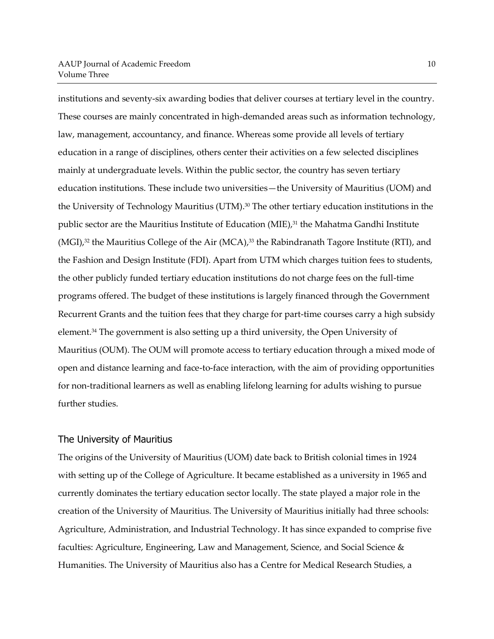institutions and seventy-six awarding bodies that deliver courses at tertiary level in the country. These courses are mainly concentrated in high-demanded areas such as information technology, law, management, accountancy, and finance. Whereas some provide all levels of tertiary education in a range of disciplines, others center their activities on a few selected disciplines mainly at undergraduate levels. Within the public sector, the country has seven tertiary education institutions. These include two universities—the University of Mauritius (UOM) and the University of Technology Mauritius (UTM). <sup>30</sup> The other tertiary education institutions in the public sector are the Mauritius Institute of Education (MIE), <sup>31</sup> the Mahatma Gandhi Institute (MGI), <sup>32</sup> the Mauritius College of the Air (MCA), <sup>33</sup> the Rabindranath Tagore Institute (RTI), and the Fashion and Design Institute (FDI). Apart from UTM which charges tuition fees to students, the other publicly funded tertiary education institutions do not charge fees on the full-time programs offered. The budget of these institutions is largely financed through the Government Recurrent Grants and the tuition fees that they charge for part-time courses carry a high subsidy element.<sup>34</sup> The government is also setting up a third university, the Open University of Mauritius (OUM). The OUM will promote access to tertiary education through a mixed mode of open and distance learning and face-to-face interaction, with the aim of providing opportunities for non-traditional learners as well as enabling lifelong learning for adults wishing to pursue further studies.

### The University of Mauritius

The origins of the University of Mauritius (UOM) date back to British colonial times in 1924 with setting up of the College of Agriculture. It became established as a university in 1965 and currently dominates the tertiary education sector locally. The state played a major role in the creation of the University of Mauritius. The University of Mauritius initially had three schools: Agriculture, Administration, and Industrial Technology. It has since expanded to comprise five faculties: Agriculture, Engineering, Law and Management, Science, and Social Science & Humanities. The University of Mauritius also has a Centre for Medical Research Studies, a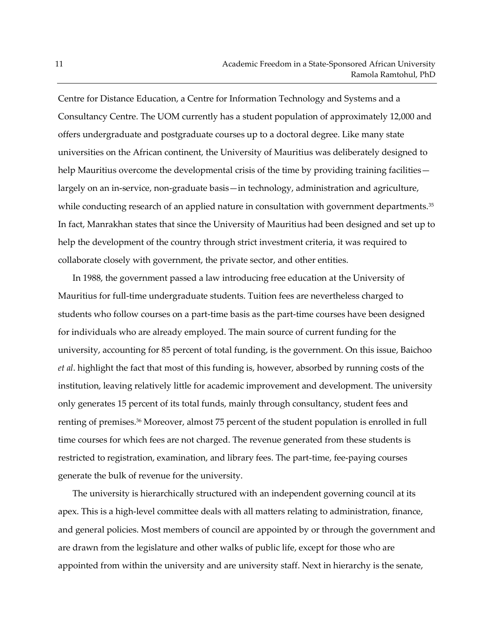Centre for Distance Education, a Centre for Information Technology and Systems and a Consultancy Centre. The UOM currently has a student population of approximately 12,000 and offers undergraduate and postgraduate courses up to a doctoral degree. Like many state universities on the African continent, the University of Mauritius was deliberately designed to help Mauritius overcome the developmental crisis of the time by providing training facilities largely on an in-service, non-graduate basis—in technology, administration and agriculture, while conducting research of an applied nature in consultation with government departments.<sup>35</sup> In fact, Manrakhan states that since the University of Mauritius had been designed and set up to help the development of the country through strict investment criteria, it was required to collaborate closely with government, the private sector, and other entities.

In 1988, the government passed a law introducing free education at the University of Mauritius for full-time undergraduate students. Tuition fees are nevertheless charged to students who follow courses on a part-time basis as the part-time courses have been designed for individuals who are already employed. The main source of current funding for the university, accounting for 85 percent of total funding, is the government. On this issue, Baichoo *et al*. highlight the fact that most of this funding is, however, absorbed by running costs of the institution, leaving relatively little for academic improvement and development. The university only generates 15 percent of its total funds, mainly through consultancy, student fees and renting of premises.<sup>36</sup> Moreover, almost 75 percent of the student population is enrolled in full time courses for which fees are not charged. The revenue generated from these students is restricted to registration, examination, and library fees. The part-time, fee-paying courses generate the bulk of revenue for the university.

The university is hierarchically structured with an independent governing council at its apex. This is a high-level committee deals with all matters relating to administration, finance, and general policies. Most members of council are appointed by or through the government and are drawn from the legislature and other walks of public life, except for those who are appointed from within the university and are university staff. Next in hierarchy is the senate,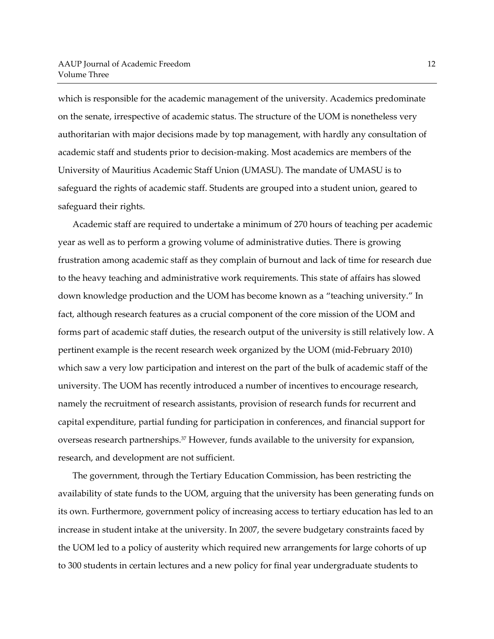which is responsible for the academic management of the university. Academics predominate on the senate, irrespective of academic status. The structure of the UOM is nonetheless very authoritarian with major decisions made by top management, with hardly any consultation of academic staff and students prior to decision-making. Most academics are members of the University of Mauritius Academic Staff Union (UMASU). The mandate of UMASU is to safeguard the rights of academic staff. Students are grouped into a student union, geared to safeguard their rights.

Academic staff are required to undertake a minimum of 270 hours of teaching per academic year as well as to perform a growing volume of administrative duties. There is growing frustration among academic staff as they complain of burnout and lack of time for research due to the heavy teaching and administrative work requirements. This state of affairs has slowed down knowledge production and the UOM has become known as a "teaching university." In fact, although research features as a crucial component of the core mission of the UOM and forms part of academic staff duties, the research output of the university is still relatively low. A pertinent example is the recent research week organized by the UOM (mid-February 2010) which saw a very low participation and interest on the part of the bulk of academic staff of the university. The UOM has recently introduced a number of incentives to encourage research, namely the recruitment of research assistants, provision of research funds for recurrent and capital expenditure, partial funding for participation in conferences, and financial support for overseas research partnerships.<sup>37</sup> However, funds available to the university for expansion, research, and development are not sufficient.

The government, through the Tertiary Education Commission, has been restricting the availability of state funds to the UOM, arguing that the university has been generating funds on its own. Furthermore, government policy of increasing access to tertiary education has led to an increase in student intake at the university. In 2007, the severe budgetary constraints faced by the UOM led to a policy of austerity which required new arrangements for large cohorts of up to 300 students in certain lectures and a new policy for final year undergraduate students to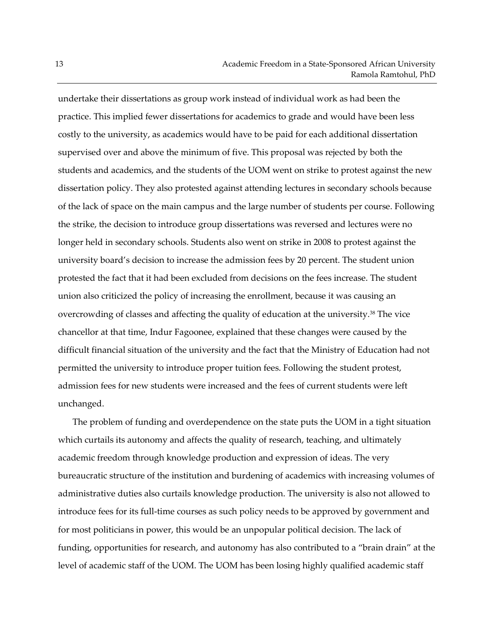undertake their dissertations as group work instead of individual work as had been the practice. This implied fewer dissertations for academics to grade and would have been less costly to the university, as academics would have to be paid for each additional dissertation supervised over and above the minimum of five. This proposal was rejected by both the students and academics, and the students of the UOM went on strike to protest against the new dissertation policy. They also protested against attending lectures in secondary schools because of the lack of space on the main campus and the large number of students per course. Following the strike, the decision to introduce group dissertations was reversed and lectures were no longer held in secondary schools. Students also went on strike in 2008 to protest against the university board's decision to increase the admission fees by 20 percent. The student union protested the fact that it had been excluded from decisions on the fees increase. The student union also criticized the policy of increasing the enrollment, because it was causing an overcrowding of classes and affecting the quality of education at the university.<sup>38</sup> The vice chancellor at that time, Indur Fagoonee, explained that these changes were caused by the difficult financial situation of the university and the fact that the Ministry of Education had not permitted the university to introduce proper tuition fees. Following the student protest, admission fees for new students were increased and the fees of current students were left unchanged.

The problem of funding and overdependence on the state puts the UOM in a tight situation which curtails its autonomy and affects the quality of research, teaching, and ultimately academic freedom through knowledge production and expression of ideas. The very bureaucratic structure of the institution and burdening of academics with increasing volumes of administrative duties also curtails knowledge production. The university is also not allowed to introduce fees for its full-time courses as such policy needs to be approved by government and for most politicians in power, this would be an unpopular political decision. The lack of funding, opportunities for research, and autonomy has also contributed to a "brain drain" at the level of academic staff of the UOM. The UOM has been losing highly qualified academic staff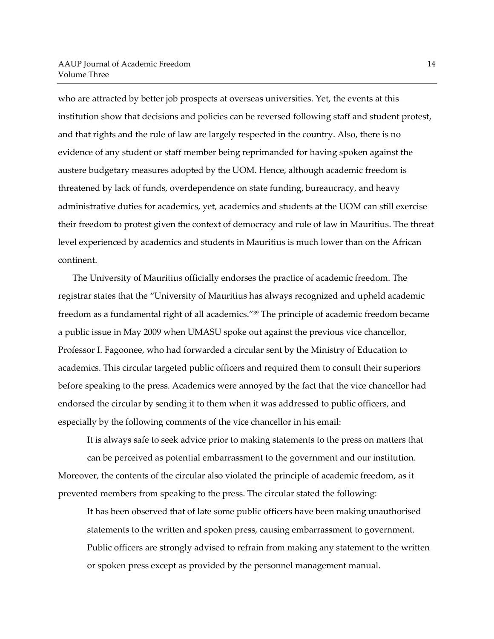who are attracted by better job prospects at overseas universities. Yet, the events at this institution show that decisions and policies can be reversed following staff and student protest, and that rights and the rule of law are largely respected in the country. Also, there is no evidence of any student or staff member being reprimanded for having spoken against the austere budgetary measures adopted by the UOM. Hence, although academic freedom is threatened by lack of funds, overdependence on state funding, bureaucracy, and heavy administrative duties for academics, yet, academics and students at the UOM can still exercise their freedom to protest given the context of democracy and rule of law in Mauritius. The threat level experienced by academics and students in Mauritius is much lower than on the African continent.

The University of Mauritius officially endorses the practice of academic freedom. The registrar states that the "University of Mauritius has always recognized and upheld academic freedom as a fundamental right of all academics." <sup>39</sup> The principle of academic freedom became a public issue in May 2009 when UMASU spoke out against the previous vice chancellor, Professor I. Fagoonee, who had forwarded a circular sent by the Ministry of Education to academics. This circular targeted public officers and required them to consult their superiors before speaking to the press. Academics were annoyed by the fact that the vice chancellor had endorsed the circular by sending it to them when it was addressed to public officers, and especially by the following comments of the vice chancellor in his email:

It is always safe to seek advice prior to making statements to the press on matters that can be perceived as potential embarrassment to the government and our institution. Moreover, the contents of the circular also violated the principle of academic freedom, as it prevented members from speaking to the press. The circular stated the following:

It has been observed that of late some public officers have been making unauthorised statements to the written and spoken press, causing embarrassment to government. Public officers are strongly advised to refrain from making any statement to the written or spoken press except as provided by the personnel management manual.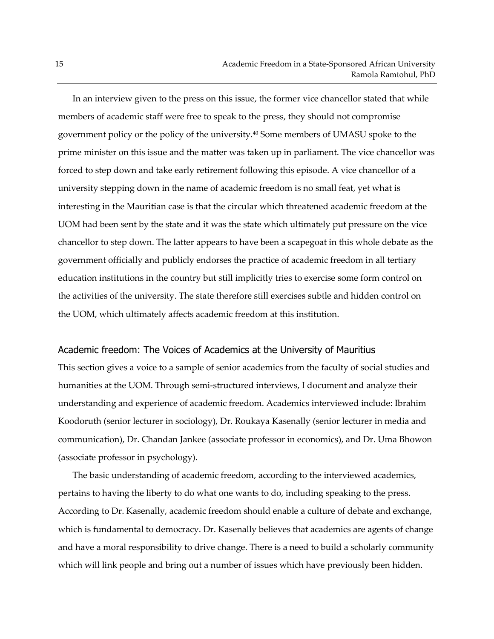In an interview given to the press on this issue, the former vice chancellor stated that while members of academic staff were free to speak to the press, they should not compromise government policy or the policy of the university.<sup>40</sup> Some members of UMASU spoke to the prime minister on this issue and the matter was taken up in parliament. The vice chancellor was forced to step down and take early retirement following this episode. A vice chancellor of a university stepping down in the name of academic freedom is no small feat, yet what is interesting in the Mauritian case is that the circular which threatened academic freedom at the UOM had been sent by the state and it was the state which ultimately put pressure on the vice chancellor to step down. The latter appears to have been a scapegoat in this whole debate as the government officially and publicly endorses the practice of academic freedom in all tertiary education institutions in the country but still implicitly tries to exercise some form control on the activities of the university. The state therefore still exercises subtle and hidden control on the UOM, which ultimately affects academic freedom at this institution.

#### Academic freedom: The Voices of Academics at the University of Mauritius

This section gives a voice to a sample of senior academics from the faculty of social studies and humanities at the UOM. Through semi-structured interviews, I document and analyze their understanding and experience of academic freedom. Academics interviewed include: Ibrahim Koodoruth (senior lecturer in sociology), Dr. Roukaya Kasenally (senior lecturer in media and communication), Dr. Chandan Jankee (associate professor in economics), and Dr. Uma Bhowon (associate professor in psychology).

The basic understanding of academic freedom, according to the interviewed academics, pertains to having the liberty to do what one wants to do, including speaking to the press. According to Dr. Kasenally, academic freedom should enable a culture of debate and exchange, which is fundamental to democracy. Dr. Kasenally believes that academics are agents of change and have a moral responsibility to drive change. There is a need to build a scholarly community which will link people and bring out a number of issues which have previously been hidden.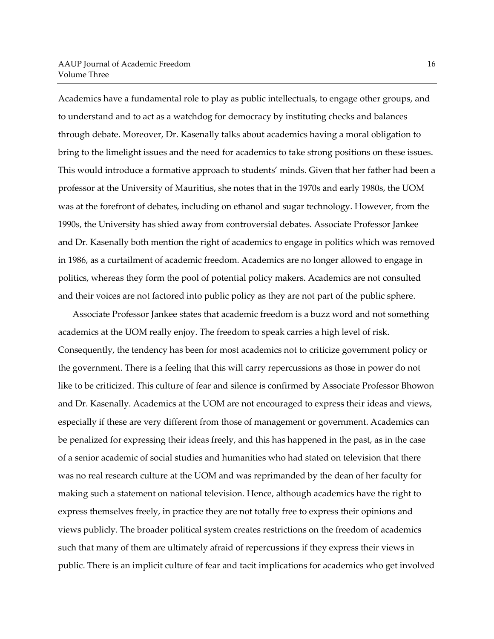Academics have a fundamental role to play as public intellectuals, to engage other groups, and to understand and to act as a watchdog for democracy by instituting checks and balances through debate. Moreover, Dr. Kasenally talks about academics having a moral obligation to bring to the limelight issues and the need for academics to take strong positions on these issues. This would introduce a formative approach to students' minds. Given that her father had been a professor at the University of Mauritius, she notes that in the 1970s and early 1980s, the UOM was at the forefront of debates, including on ethanol and sugar technology. However, from the 1990s, the University has shied away from controversial debates. Associate Professor Jankee and Dr. Kasenally both mention the right of academics to engage in politics which was removed in 1986, as a curtailment of academic freedom. Academics are no longer allowed to engage in politics, whereas they form the pool of potential policy makers. Academics are not consulted and their voices are not factored into public policy as they are not part of the public sphere.

Associate Professor Jankee states that academic freedom is a buzz word and not something academics at the UOM really enjoy. The freedom to speak carries a high level of risk. Consequently, the tendency has been for most academics not to criticize government policy or the government. There is a feeling that this will carry repercussions as those in power do not like to be criticized. This culture of fear and silence is confirmed by Associate Professor Bhowon and Dr. Kasenally. Academics at the UOM are not encouraged to express their ideas and views, especially if these are very different from those of management or government. Academics can be penalized for expressing their ideas freely, and this has happened in the past, as in the case of a senior academic of social studies and humanities who had stated on television that there was no real research culture at the UOM and was reprimanded by the dean of her faculty for making such a statement on national television. Hence, although academics have the right to express themselves freely, in practice they are not totally free to express their opinions and views publicly. The broader political system creates restrictions on the freedom of academics such that many of them are ultimately afraid of repercussions if they express their views in public. There is an implicit culture of fear and tacit implications for academics who get involved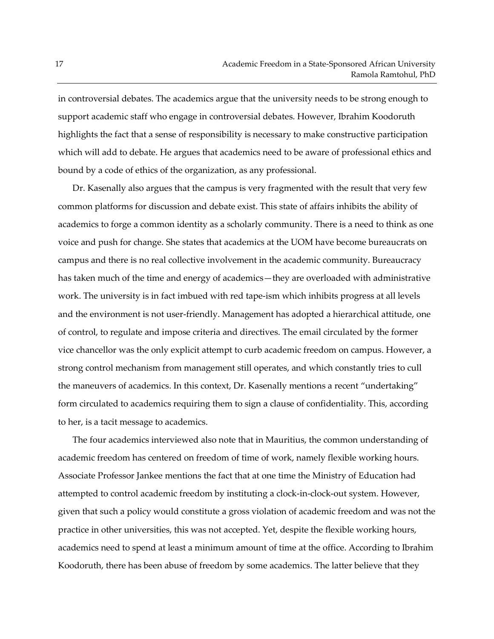in controversial debates. The academics argue that the university needs to be strong enough to support academic staff who engage in controversial debates. However, Ibrahim Koodoruth highlights the fact that a sense of responsibility is necessary to make constructive participation which will add to debate. He argues that academics need to be aware of professional ethics and bound by a code of ethics of the organization, as any professional.

Dr. Kasenally also argues that the campus is very fragmented with the result that very few common platforms for discussion and debate exist. This state of affairs inhibits the ability of academics to forge a common identity as a scholarly community. There is a need to think as one voice and push for change. She states that academics at the UOM have become bureaucrats on campus and there is no real collective involvement in the academic community. Bureaucracy has taken much of the time and energy of academics—they are overloaded with administrative work. The university is in fact imbued with red tape-ism which inhibits progress at all levels and the environment is not user-friendly. Management has adopted a hierarchical attitude, one of control, to regulate and impose criteria and directives. The email circulated by the former vice chancellor was the only explicit attempt to curb academic freedom on campus. However, a strong control mechanism from management still operates, and which constantly tries to cull the maneuvers of academics. In this context, Dr. Kasenally mentions a recent "undertaking" form circulated to academics requiring them to sign a clause of confidentiality. This, according to her, is a tacit message to academics.

The four academics interviewed also note that in Mauritius, the common understanding of academic freedom has centered on freedom of time of work, namely flexible working hours. Associate Professor Jankee mentions the fact that at one time the Ministry of Education had attempted to control academic freedom by instituting a clock-in-clock-out system. However, given that such a policy would constitute a gross violation of academic freedom and was not the practice in other universities, this was not accepted. Yet, despite the flexible working hours, academics need to spend at least a minimum amount of time at the office. According to Ibrahim Koodoruth, there has been abuse of freedom by some academics. The latter believe that they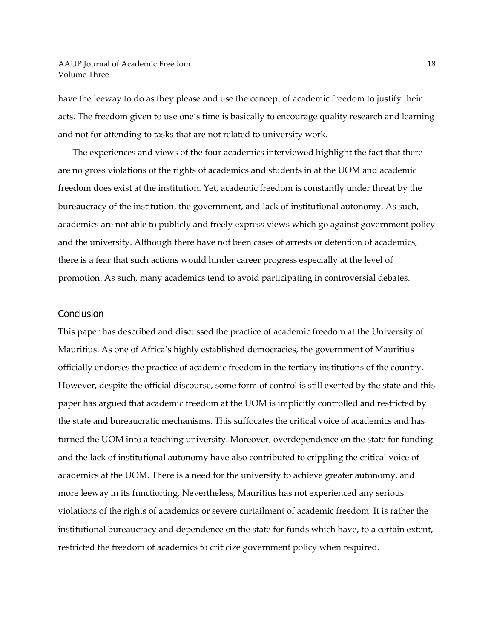have the leeway to do as they please and use the concept of academic freedom to justify their acts. The freedom given to use one's time is basically to encourage quality research and learning and not for attending to tasks that are not related to university work.

The experiences and views of the four academics interviewed highlight the fact that there are no gross violations of the rights of academics and students in at the UOM and academic freedom does exist at the institution. Yet, academic freedom is constantly under threat by the bureaucracy of the institution, the government, and lack of institutional autonomy. As such, academics are not able to publicly and freely express views which go against government policy and the university. Although there have not been cases of arrests or detention of academics, there is a fear that such actions would hinder career progress especially at the level of promotion. As such, many academics tend to avoid participating in controversial debates.

#### **Conclusion**

This paper has described and discussed the practice of academic freedom at the University of Mauritius. As one of Africa's highly established democracies, the government of Mauritius officially endorses the practice of academic freedom in the tertiary institutions of the country. However, despite the official discourse, some form of control is still exerted by the state and this paper has argued that academic freedom at the UOM is implicitly controlled and restricted by the state and bureaucratic mechanisms. This suffocates the critical voice of academics and has turned the UOM into a teaching university. Moreover, overdependence on the state for funding and the lack of institutional autonomy have also contributed to crippling the critical voice of academics at the UOM. There is a need for the university to achieve greater autonomy, and more leeway in its functioning. Nevertheless, Mauritius has not experienced any serious violations of the rights of academics or severe curtailment of academic freedom. It is rather the institutional bureaucracy and dependence on the state for funds which have, to a certain extent, restricted the freedom of academics to criticize government policy when required.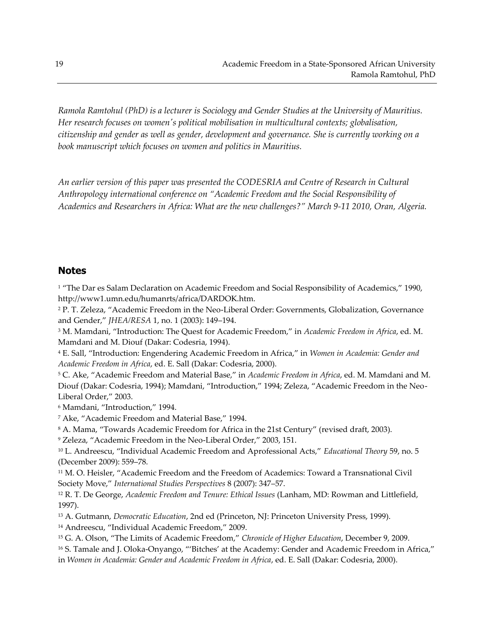*Ramola Ramtohul (PhD) is a lecturer is Sociology and Gender Studies at the University of Mauritius. Her research focuses on women's political mobilisation in multicultural contexts; globalisation, citizenship and gender as well as gender, development and governance. She is currently working on a book manuscript which focuses on women and politics in Mauritius.*

*An earlier version of this paper was presented the CODESRIA and Centre of Research in Cultural Anthropology international conference on "Academic Freedom and the Social Responsibility of Academics and Researchers in Africa: What are the new challenges?" March 9-11 2010, Oran, Algeria.*

# **Notes**

<sup>1</sup> "The Dar es Salam Declaration on Academic Freedom and Social Responsibility of Academics," 1990, http://www1.umn.edu/humanrts/africa/DARDOK.htm.

<sup>2</sup> P. T. Zeleza, "Academic Freedom in the Neo-Liberal Order: Governments, Globalization, Governance and Gender," *JHEA/RESA* 1, no. 1 (2003): 149–194.

<sup>3</sup> M. Mamdani, "Introduction: The Quest for Academic Freedom," in *Academic Freedom in Africa*, ed. M. Mamdani and M. Diouf (Dakar: Codesria, 1994).

<sup>4</sup> E. Sall, "Introduction: Engendering Academic Freedom in Africa," in *Women in Academia: Gender and Academic Freedom in Africa*, ed. E. Sall (Dakar: Codesria, 2000).

<sup>5</sup> C. Ake, "Academic Freedom and Material Base," in *Academic Freedom in Africa*, ed. M. Mamdani and M. Diouf (Dakar: Codesria, 1994); Mamdani, "Introduction," 1994; Zeleza, "Academic Freedom in the Neo-Liberal Order," 2003.

<sup>6</sup> Mamdani, "Introduction," 1994.

<sup>7</sup> Ake, "Academic Freedom and Material Base," 1994.

<sup>8</sup> A. Mama, "Towards Academic Freedom for Africa in the 21st Century" (revised draft, 2003).

<sup>9</sup> Zeleza, "Academic Freedom in the Neo-Liberal Order," 2003, 151.

<sup>10</sup> L. Andreescu, "Individual Academic Freedom and Aprofessional Acts," *Educational Theory* 59, no. 5 (December 2009): 559–78.

<sup>11</sup> M. O. Heisler, "Academic Freedom and the Freedom of Academics: Toward a Transnational Civil Society Move," *International Studies Perspectives* 8 (2007): 347–57.

<sup>12</sup> R. T. De George, *Academic Freedom and Tenure: Ethical Issues* (Lanham, MD: Rowman and Littlefield, 1997).

<sup>13</sup> A. Gutmann, *Democratic Education*, 2nd ed (Princeton, NJ: Princeton University Press, 1999).

<sup>14</sup> Andreescu, "Individual Academic Freedom," 2009.

<sup>15</sup> G. A. Olson, "The Limits of Academic Freedom," *Chronicle of Higher Education*, December 9, 2009.

<sup>16</sup> S. Tamale and J. Oloka-Onyango, "'Bitches' at the Academy: Gender and Academic Freedom in Africa," in *Women in Academia: Gender and Academic Freedom in Africa*, ed. E. Sall (Dakar: Codesria, 2000).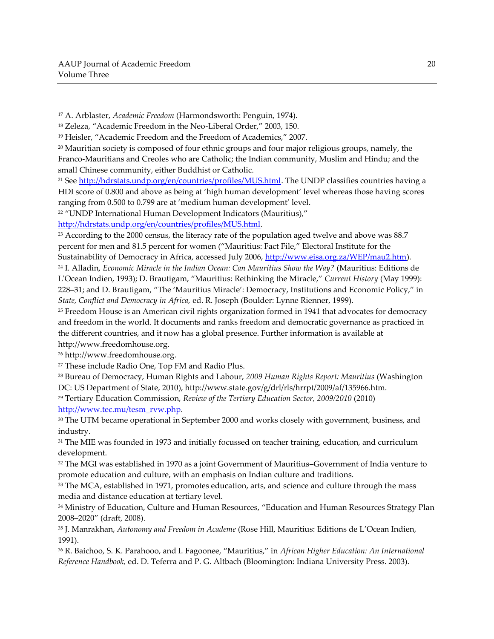<sup>17</sup> A. Arblaster, *Academic Freedom* (Harmondsworth: Penguin, 1974).

<sup>18</sup> Zeleza, "Academic Freedom in the Neo-Liberal Order," 2003, 150.

<sup>19</sup> Heisler, "Academic Freedom and the Freedom of Academics," 2007.

<sup>20</sup> Mauritian society is composed of four ethnic groups and four major religious groups, namely, the Franco-Mauritians and Creoles who are Catholic; the Indian community, Muslim and Hindu; and the small Chinese community, either Buddhist or Catholic.

<sup>21</sup> See [http://hdrstats.undp.org/en/countries/profiles/MUS.html.](http://hdrstats.undp.org/en/countries/profiles/MUS.html) The UNDP classifies countries having a HDI score of 0.800 and above as being at 'high human development' level whereas those having scores ranging from 0.500 to 0.799 are at 'medium human development' level.

<sup>22</sup> "UNDP International Human Development Indicators (Mauritius),"

[http://hdrstats.undp.org/en/countries/profiles/MUS.html.](http://hdrstats.undp.org/en/countries/profiles/MUS.html)

<sup>23</sup> According to the 2000 census, the literacy rate of the population aged twelve and above was 88.7 percent for men and 81.5 percent for women ("Mauritius: Fact File," Electoral Institute for the Sustainability of Democracy in Africa, accessed July 2006[, http://www.eisa.org.za/WEP/mau2.htm\)](http://www.eisa.org.za/WEP/mau2.htm).

<sup>24</sup> I. Alladin, *Economic Miracle in the Indian Ocean: Can Mauritius Show the Way?* (Mauritius: Editions de L'Ocean Indien, 1993); D. Brautigam, "Mauritius: Rethinking the Miracle," *Current History* (May 1999): 228–31; and D. Brautigam, "The 'Mauritius Miracle': Democracy, Institutions and Economic Policy," in *State, Conflict and Democracy in Africa,* ed. R. Joseph (Boulder: Lynne Rienner, 1999).

<sup>25</sup> Freedom House is an American civil rights organization formed in 1941 that advocates for democracy and freedom in the world. It documents and ranks freedom and democratic governance as practiced in the different countries, and it now has a global presence. Further information is available at http://www.freedomhouse.org.

<sup>26</sup> http://www.freedomhouse.org.

<sup>27</sup> These include Radio One, Top FM and Radio Plus.

<sup>28</sup> Bureau of Democracy, Human Rights and Labour, *2009 Human Rights Report: Mauritius* (Washington DC: US Department of State, 2010), http://www.state.gov/g/drl/rls/hrrpt/2009/af/135966.htm.

<sup>29</sup> Tertiary Education Commission, *Review of the Tertiary Education Sector, 2009/2010* (2010) [http://www.tec.mu/tesm\\_rvw.php.](http://www.tec.mu/tesm_rvw.php)

<sup>30</sup> The UTM became operational in September 2000 and works closely with government, business, and industry.

<sup>31</sup> The MIE was founded in 1973 and initially focussed on teacher training, education, and curriculum development.

<sup>32</sup> The MGI was established in 1970 as a joint Government of Mauritius–Government of India venture to promote education and culture, with an emphasis on Indian culture and traditions.

<sup>33</sup> The MCA, established in 1971, promotes education, arts, and science and culture through the mass media and distance education at tertiary level.

<sup>34</sup> Ministry of Education, Culture and Human Resources, "Education and Human Resources Strategy Plan 2008–2020" (draft, 2008).

<sup>35</sup> J. Manrakhan, *Autonomy and Freedom in Academe* (Rose Hill, Mauritius: Editions de L'Ocean Indien, 1991).

<sup>36</sup> R. Baichoo, S. K. Parahooo, and I. Fagoonee, "Mauritius," in *African Higher Education: An International Reference Handbook,* ed. D. Teferra and P. G. Altbach (Bloomington: Indiana University Press. 2003).